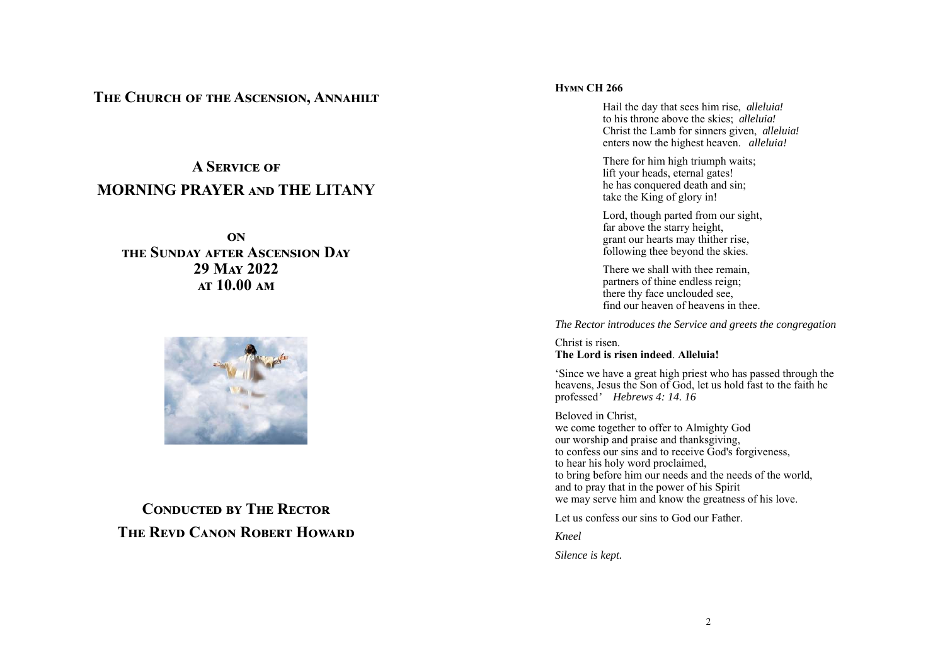## **THE CHURCH OF THE ASCENSION, ANNAHILT**

# **A SERVICE OF MORNING PRAYER AND THE LITANY**

**ඈඇ**  THE SUNDAY AFTER ASCENSION DAY 29 M<sub>AY</sub> 2022 **AT 10.00 AM** 



## **CONDUCTED BY THE RECTOR THE REVD CANON ROBERT HOWARD**

## **HYMN CH 266**

Hail the day that sees him rise, *alleluia!*  to his throne above the skies; *alleluia!* Christ the Lamb for sinners given, *alleluia!* enters now the highest heaven. *alleluia!*

There for him high triumph waits; lift your heads, eternal gates! he has conquered death and sin; take the King of glory in!

Lord, though parted from our sight, far above the starry height, grant our hearts may thither rise, following thee beyond the skies.

There we shall with thee remain, partners of thine endless reign; there thy face unclouded see, find our heaven of heavens in thee.

*The Rector introduces the Service and greets the congregation* 

## Christ is risen. **The Lord is risen indeed**. **Alleluia!**

'Since we have a great high priest who has passed through the heavens, Jesus the Son of God, let us hold fast to the faith he professed*' Hebrews 4: 14. 16* 

Beloved in Christ, we come together to offer to Almighty God our worship and praise and thanksgiving, to confess our sins and to receive God's forgiveness, to hear his holy word proclaimed, to bring before him our needs and the needs of the world, and to pray that in the power of his Spirit we may serve him and know the greatness of his love.

Let us confess our sins to God our Father.

*Kneel* 

*Silence is kept.*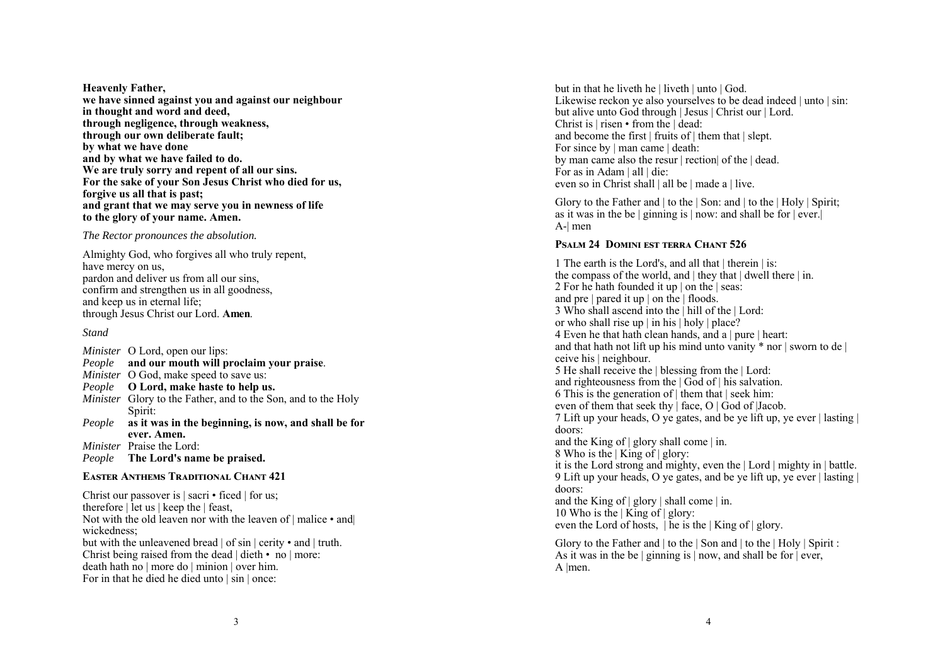**Heavenly Father, we have sinned against you and against our neighbour in thought and word and deed, through negligence, through weakness, through our own deliberate fault; by what we have done and by what we have failed to do. We are truly sorry and repent of all our sins. For the sake of your Son Jesus Christ who died for us, forgive us all that is past; and grant that we may serve you in newness of life to the glory of your name. Amen.** 

#### *The Rector pronounces the absolution.*

Almighty God, who forgives all who truly repent, have mercy on us, pardon and deliver us from all our sins, confirm and strengthen us in all goodness, and keep us in eternal life; through Jesus Christ our Lord. **Amen**.

#### *Stand*

*Minister* O Lord, open our lips: *People* **and our mouth will proclaim your praise**. *Minister* O God, make speed to save us: *People* **O Lord, make haste to help us.**  *Minister* Glory to the Father, and to the Son, and to the Holy Spirit: *People* **as it was in the beginning, is now, and shall be for ever. Amen.**  *Minister* Praise the Lord: *People* **The Lord's name be praised.** 

#### **EASTER ANTHEMS TRADITIONAL CHANT 421**

Christ our passover is | sacri • ficed | for us; therefore | let us | keep the | feast, Not with the old leaven nor with the leaven of | malice • and wickedness; but with the unleavened bread | of sin | cerity • and | truth. Christ being raised from the dead | dieth • no | more: death hath no | more do | minion | over him. For in that he died he died unto | sin | once:

but in that he liveth he | liveth | unto | God. Likewise reckon ye also yourselves to be dead indeed | unto | sin: but alive unto God through | Jesus | Christ our | Lord. Christ is | risen • from the | dead: and become the first | fruits of | them that | slept. For since by | man came | death: by man came also the resur | rection| of the | dead. For as in Adam | all | die: even so in Christ shall | all be | made a | live.

Glory to the Father and | to the | Son: and | to the | Holy | Spirit; as it was in the be  $|$  ginning is  $|$  now: and shall be for  $|$  ever. A-| men

## **PSALM 24 DOMINI EST TERRA CHANT 526**

1 The earth is the Lord's, and all that | therein | is: the compass of the world, and | they that | dwell there | in. 2 For he hath founded it up | on the | seas: and pre | pared it up | on the | floods. 3 Who shall ascend into the | hill of the | Lord: or who shall rise up | in his | holy | place? 4 Even he that hath clean hands, and a | pure | heart: and that hath not lift up his mind unto vanity  $*$  nor  $\vert$  sworn to de  $\vert$ ceive his | neighbour. 5 He shall receive the | blessing from the | Lord: and righteousness from the | God of | his salvation. 6 This is the generation of  $\vert$  them that  $\vert$  seek him: even of them that seek thy  $|$  face, O  $|$  God of  $|$ Jacob. 7 Lift up your heads, O ye gates, and be ye lift up, ye ever | lasting | doors: and the King of | glory shall come | in. 8 Who is the | King of | glory: it is the Lord strong and mighty, even the | Lord | mighty in | battle. 9 Lift up your heads, O ye gates, and be ye lift up, ye ever | lasting | doors: and the King of | glory | shall come | in. 10 Who is the | King of | glory: even the Lord of hosts,  $|\tilde{h}$  he is the  $|\tilde{K}$  King of  $|\tilde{g}$  glory. Glory to the Father and | to the | Son and | to the | Holy | Spirit :

As it was in the be  $|$  ginning is  $|$  now, and shall be for  $|$  ever, A |men.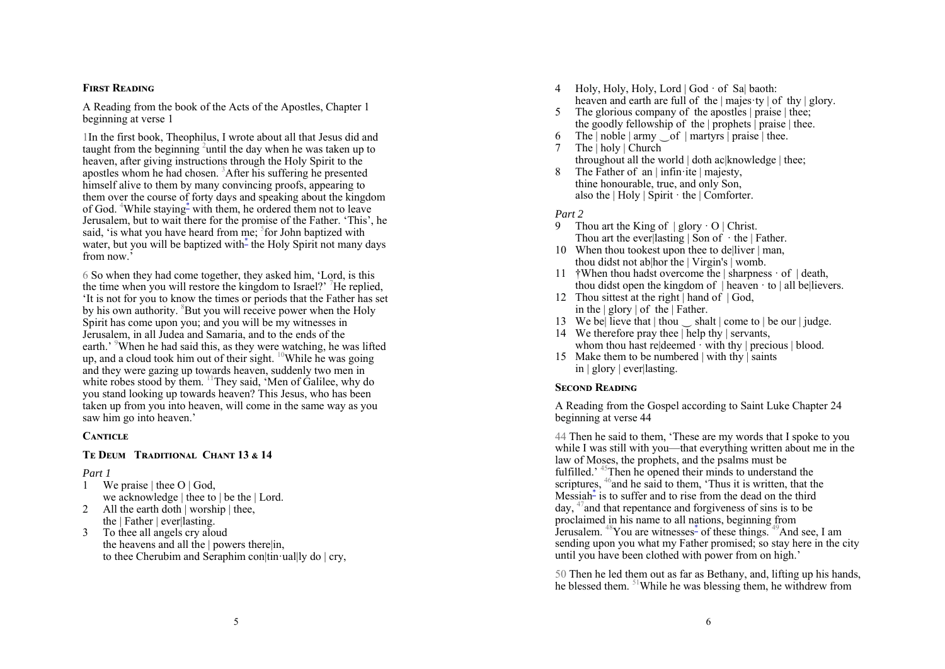## **FIRST READING**

A Reading from the book of the Acts of the Apostles, Chapter 1 beginning at verse 1

1In the first book, Theophilus, I wrote about all that Jesus did and taught from the beginning <sup>2</sup>until the day when he was taken up to heaven, after giving instructions through the Holy Spirit to the apostles whom he had chosen. 3After his suffering he presented himself alive to them by many convincing proofs, appearing to them over the course of forty days and speaking about the kingdom of God. 4While staying\* with them, he ordered them not to leave Jerusalem, but to wait there for the promise of the Father. 'This', he said, 'is what you have heard from me; <sup>5</sup>for John baptized with water, but you will be baptized with- the Holy Spirit not many days from now<sup>5</sup>

6 So when they had come together, they asked him, 'Lord, is this the time when you will restore the kingdom to Israel?<sup>7</sup> He replied, 'It is not for you to know the times or periods that the Father has set by his own authority. <sup>8</sup>But you will receive power when the Holy Spirit has come upon you; and you will be my witnesses in Jerusalem, in all Judea and Samaria, and to the ends of the earth.' When he had said this, as they were watching, he was lifted up, and a cloud took him out of their sight.  $^{10}$ While he was going and they were gazing up towards heaven, suddenly two men in white robes stood by them. <sup>11</sup>They said, 'Men of Galilee, why do you stand looking up towards heaven? This Jesus, who has been taken up from you into heaven, will come in the same way as you saw him go into heaven.'

## **CANTICLE**

## **TE DEUM TRADITIONAL CHANT 13 & 14**

## *Part 1*

- 1 We praise | thee O | God, we acknowledge | thee to | be the | Lord.
- 2 All the earth doth | worship | thee, the | Father | ever|lasting.
- 3 To thee all angels cry aloud the heavens and all the  $\vert$  powers there $\vert$ in, to thee Cherubim and Seraphim con|tin·ual|ly do | cry,
- 4 Holy, Holy, Holy, Lord | God · of Sa| baoth: heaven and earth are full of the | majes ty | of thy | glory.
- 5 The glorious company of the apostles | praise | thee; the goodly fellowship of the  $|$  prophets  $|$  praise  $|$  thee.
- The | noble | army  $\circ$  of | martyrs | praise | thee.
- 7 The | holy | Church throughout all the world | doth ac knowledge | thee;
- The Father of an | infin·ite | majesty, thine honourable, true, and only Son, also the  $|$  Holy  $|$  Spirit  $\cdot$  the  $|$  Comforter.

*Part 2* 

- 9 Thou art the King of  $|$  glory  $\cdot$  O  $|$  Christ. Thou art the everllasting  $|\text{ Son of } \cdot \text{ the }|$  Father.
- 10 When thou tookest upon thee to de|liver | man, thou didst not ab|hor the | Virgin's | womb.
- 11 †When thou hadst overcome the | sharpness · of | death, thou didst open the kingdom of  $|$  heaven  $\cdot$  to  $|$  all be $|$ lievers.
- 12 Thou sittest at the right | hand of | God, in the | glory | of the | Father.
- 13 We be lieve that | thou shalt | come to | be our | judge.
- 14 We therefore pray thee | help thy | servants, whom thou hast relablemed  $\cdot$  with thy | precious | blood.
- 15 Make them to be numbered | with thy | saints in | glory | ever|lasting.

## **SECOND READING**

A Reading from the Gospel according to Saint Luke Chapter 24 beginning at verse 44

44 Then he said to them, 'These are my words that I spoke to you while I was still with you—that everything written about me in the law of Moses, the prophets, and the psalms must be fulfilled.<sup>45</sup>Then he opened their minds to understand the scriptures,  $46$  and he said to them, 'Thus it is written, that the Messiah<sup>\*</sup> is to suffer and to rise from the dead on the third day, 47and that repentance and forgiveness of sins is to be proclaimed in his name to all nations, beginning from Jerusalem. <sup>48</sup>You are witnesses<sup>\*</sup> of these things. <sup>49</sup>And see, I am sending upon you what my Father promised; so stay here in the city until you have been clothed with power from on high.'

50 Then he led them out as far as Bethany, and, lifting up his hands, he blessed them. 51While he was blessing them, he withdrew from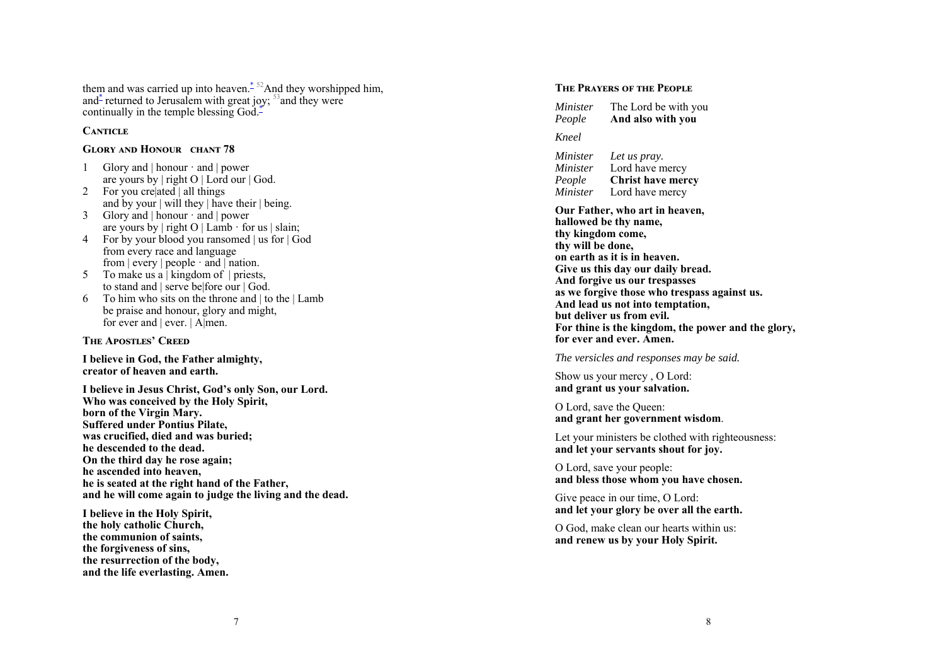them and was carried up into heaven.<sup> $*$  52</sup>And they worshipped him, and  $\ddot{\text{}}$  returned to Jerusalem with great joy;  $\frac{53}{2}$  and they were continually in the temple blessing God.<sup>\*</sup>

#### **CANTICLE**

#### GLORY AND HONOUR CHANT 78

- 1 Glory and | honour · and | power are yours by | right O | Lord our | God.
- 2 For you crelated | all things and by your | will they | have their | being.
- 3 Glory and | honour · and | power are yours by  $|\text{ right } O |$  Lamb  $\cdot$  for us  $|\text{ claim:}$
- 4 For by your blood you ransomed | us for | God from every race and language from  $|$  every  $|$  people  $\cdot$  and  $|$  nation.
- 5 To make us a | kingdom of | priests, to stand and | serve be|fore our | God.
- 6 To him who sits on the throne and  $\vert$  to the  $\vert$  Lamb be praise and honour, glory and might, for ever and  $|$  ever.  $|$  Almen.

**THE APOSTLES' CREED** 

**I believe in God, the Father almighty, creator of heaven and earth.** 

**I believe in Jesus Christ, God's only Son, our Lord. Who was conceived by the Holy Spirit, born of the Virgin Mary. Suffered under Pontius Pilate, was crucified, died and was buried; he descended to the dead. On the third day he rose again; he ascended into heaven, he is seated at the right hand of the Father, and he will come again to judge the living and the dead.** 

**I believe in the Holy Spirit, the holy catholic Church, the communion of saints, the forgiveness of sins, the resurrection of the body, and the life everlasting. Amen.** 

#### **THE PRAYERS OF THE PEOPLE**

*Minister* The Lord be with you *People* **And also with you** 

#### *Kneel*

*Minister Let us pray. Minister* Lord have mercy *People* **Christ have mercy**  *Minister* Lord have mercy

**Our Father, who art in heaven, hallowed be thy name, thy kingdom come, thy will be done, on earth as it is in heaven. Give us this day our daily bread. And forgive us our trespasses as we forgive those who trespass against us. And lead us not into temptation, but deliver us from evil. For thine is the kingdom, the power and the glory, for ever and ever. Amen.** 

*The versicles and responses may be said.* 

Show us your mercy , O Lord: **and grant us your salvation.** 

O Lord, save the Queen: **and grant her government wisdom**.

Let your ministers be clothed with righteousness: **and let your servants shout for joy.** 

O Lord, save your people: **and bless those whom you have chosen.** 

Give peace in our time, O Lord: **and let your glory be over all the earth.** 

O God, make clean our hearts within us: **and renew us by your Holy Spirit.**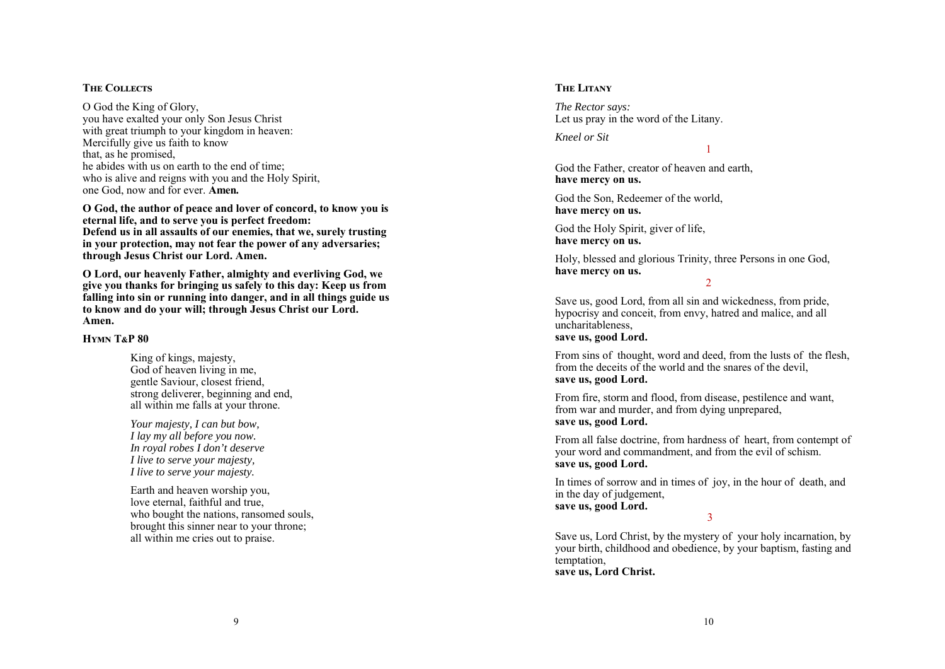## **THE COLLECTS**

O God the King of Glory, you have exalted your only Son Jesus Christ with great triumph to your kingdom in heaven: Mercifully give us faith to know that, as he promised, he abides with us on earth to the end of time; who is alive and reigns with you and the Holy Spirit, one God, now and for ever. **Amen.** 

**O God, the author of peace and lover of concord, to know you is eternal life, and to serve you is perfect freedom: Defend us in all assaults of our enemies, that we, surely trusting in your protection, may not fear the power of any adversaries; through Jesus Christ our Lord. Amen.** 

**O Lord, our heavenly Father, almighty and everliving God, we give you thanks for bringing us safely to this day: Keep us from falling into sin or running into danger, and in all things guide us to know and do your will; through Jesus Christ our Lord. Amen.** 

## **HYMN T&P 80**

King of kings, majesty, God of heaven living in me, gentle Saviour, closest friend, strong deliverer, beginning and end, all within me falls at your throne.

*Your majesty, I can but bow, I lay my all before you now. In royal robes I don't deserve I live to serve your majesty, I live to serve your majesty.* 

Earth and heaven worship you, love eternal, faithful and true, who bought the nations, ransomed souls, brought this sinner near to your throne; all within me cries out to praise.

## **THE LITANY**

*The Rector says:*  Let us pray in the word of the Litany.

*Kneel or Sit* 

God the Father, creator of heaven and earth, **have mercy on us.**

God the Son, Redeemer of the world, **have mercy on us.**

God the Holy Spirit, giver of life, **have mercy on us.**

Holy, blessed and glorious Trinity, three Persons in one God, **have mercy on us.**

 $\mathcal{D}$ 

1

Save us, good Lord, from all sin and wickedness, from pride, hypocrisy and conceit, from envy, hatred and malice, and all uncharitableness, **save us, good Lord.**

From sins of thought, word and deed, from the lusts of the flesh, from the deceits of the world and the snares of the devil, **save us, good Lord.**

From fire, storm and flood, from disease, pestilence and want, from war and murder, and from dying unprepared, **save us, good Lord.**

From all false doctrine, from hardness of heart, from contempt of your word and commandment, and from the evil of schism. **save us, good Lord.**

In times of sorrow and in times of joy, in the hour of death, and in the day of judgement, **save us, good Lord.**

3

Save us, Lord Christ, by the mystery of your holy incarnation, by your birth, childhood and obedience, by your baptism, fasting and temptation, **save us, Lord Christ.**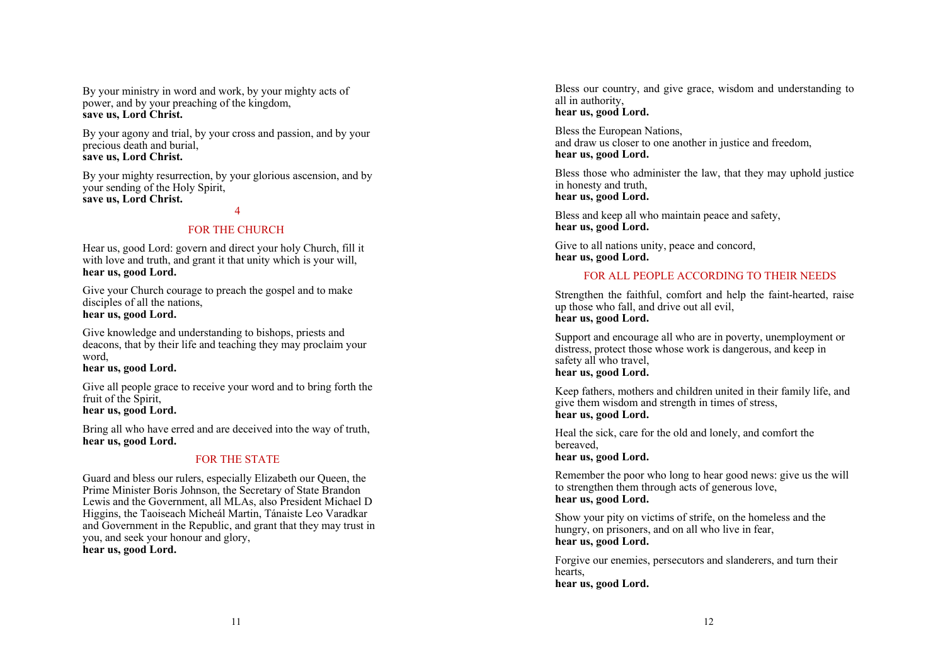By your ministry in word and work, by your mighty acts of power, and by your preaching of the kingdom, **save us, Lord Christ.**

By your agony and trial, by your cross and passion, and by your precious death and burial, **save us, Lord Christ.**

By your mighty resurrection, by your glorious ascension, and by your sending of the Holy Spirit, **save us, Lord Christ.**

#### 4

## FOR THE CHURCH

Hear us, good Lord: govern and direct your holy Church, fill it with love and truth, and grant it that unity which is your will. **hear us, good Lord.**

Give your Church courage to preach the gospel and to make disciples of all the nations. **hear us, good Lord.**

Give knowledge and understanding to bishops, priests and deacons, that by their life and teaching they may proclaim your word,

**hear us, good Lord.**

Give all people grace to receive your word and to bring forth the fruit of the Spirit, **hear us, good Lord.**

Bring all who have erred and are deceived into the way of truth, **hear us, good Lord.**

## FOR THE STATE

Guard and bless our rulers, especially Elizabeth our Queen, the Prime Minister Boris Johnson, the Secretary of State Brandon Lewis and the Government, all MLAs, also President Michael D Higgins, the Taoiseach Micheál Martin, Tánaiste Leo Varadkar and Government in the Republic, and grant that they may trust in you, and seek your honour and glory, **hear us, good Lord.**

Bless our country, and give grace, wisdom and understanding to all in authority, **hear us, good Lord.**

Bless the European Nations, and draw us closer to one another in justice and freedom, **hear us, good Lord.**

Bless those who administer the law, that they may uphold justice in honesty and truth, **hear us, good Lord.**

Bless and keep all who maintain peace and safety, **hear us, good Lord.**

Give to all nations unity, peace and concord, **hear us, good Lord.**

## FOR ALL PEOPLE ACCORDING TO THEIR NEEDS

Strengthen the faithful, comfort and help the faint-hearted, raise up those who fall, and drive out all evil, **hear us, good Lord.**

Support and encourage all who are in poverty, unemployment or distress, protect those whose work is dangerous, and keep in safety all who travel. **hear us, good Lord.**

Keep fathers, mothers and children united in their family life, and give them wisdom and strength in times of stress, **hear us, good Lord.**

Heal the sick, care for the old and lonely, and comfort the bereaved, **hear us, good Lord.**

Remember the poor who long to hear good news: give us the will to strengthen them through acts of generous love, **hear us, good Lord.**

Show your pity on victims of strife, on the homeless and the hungry, on prisoners, and on all who live in fear, **hear us, good Lord.**

Forgive our enemies, persecutors and slanderers, and turn their hearts, **hear us, good Lord.**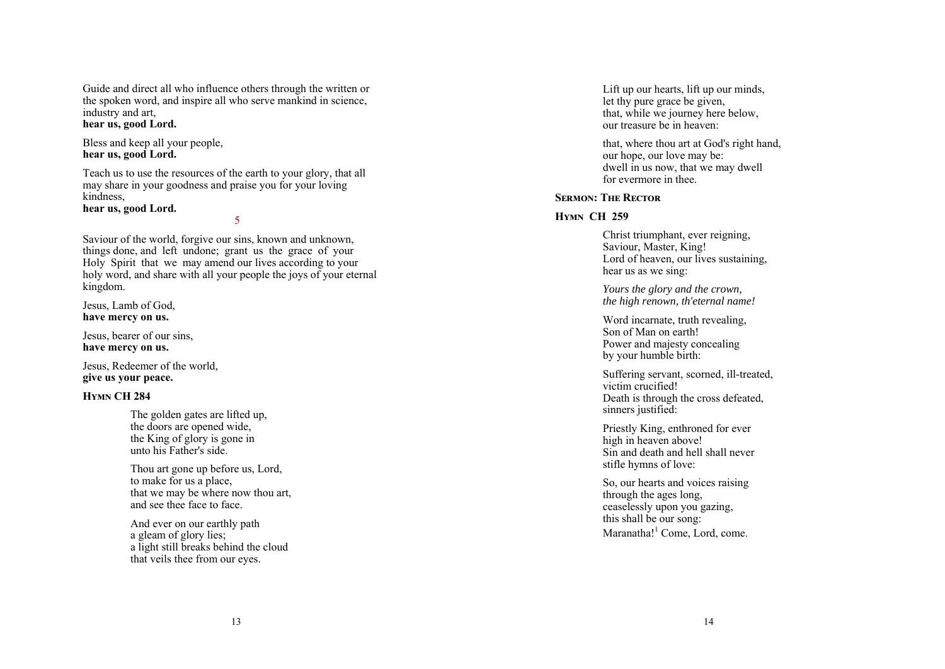Guide and direct all who influence others through the written or the spoken word, and inspire all who serve mankind in science, industry and art, **hear us, good Lord.**

Bless and keep all your people,

**hear us, good Lord.**

Teach us to use the resources of the earth to your glory, that all may share in your goodness and praise you for your loving kindness,

**hear us, good Lord.**

5

Saviour of the world, forgive our sins, known and unknown, things done, and left undone; grant us the grace of your Holy Spirit that we may amend our lives according to your holy word, and share with all your people the joys of your eternal kingdom.

Jesus, Lamb of God, **have mercy on us.**

Jesus, bearer of our sins, **have mercy on us.**

Jesus, Redeemer of the world, **give us your peace.**

## **HYMN CH 284**

The golden gates are lifted up, the doors are opened wide, the King of glory is gone in unto his Father's side.

Thou art gone up before us, Lord, to make for us a place, that we may be where now thou art, and see thee face to face.

And ever on our earthly path a gleam of glory lies; a light still breaks behind the cloud that veils thee from our eyes.

Lift up our hearts, lift up our minds, let thy pure grace be given, that, while we journey here below, our treasure be in heaven:

that, where thou art at God's right hand, our hope, our love may be: dwell in us now, that we may dwell for evermore in thee.

## **SERMON**<sup></sup> THE RECTOR

## **Hymn CH 259**

Christ triumphant, ever reigning, Saviour, Master, King! Lord of heaven, our lives sustaining, hear us as we sing:

*Yours the glory and the crown, the high renown, th'eternal name!*

Word incarnate, truth revealing, Son of Man on earth! Power and majesty concealing by your humble birth:

Suffering servant, scorned, ill-treated, victim crucified! Death is through the cross defeated, sinners justified:

Priestly King, enthroned for ever high in heaven above! Sin and death and hell shall never stifle hymns of love:

So, our hearts and voices raising through the ages long, ceaselessly upon you gazing, this shall be our song: Maranatha! $<sup>1</sup>$  Come, Lord, come.</sup>